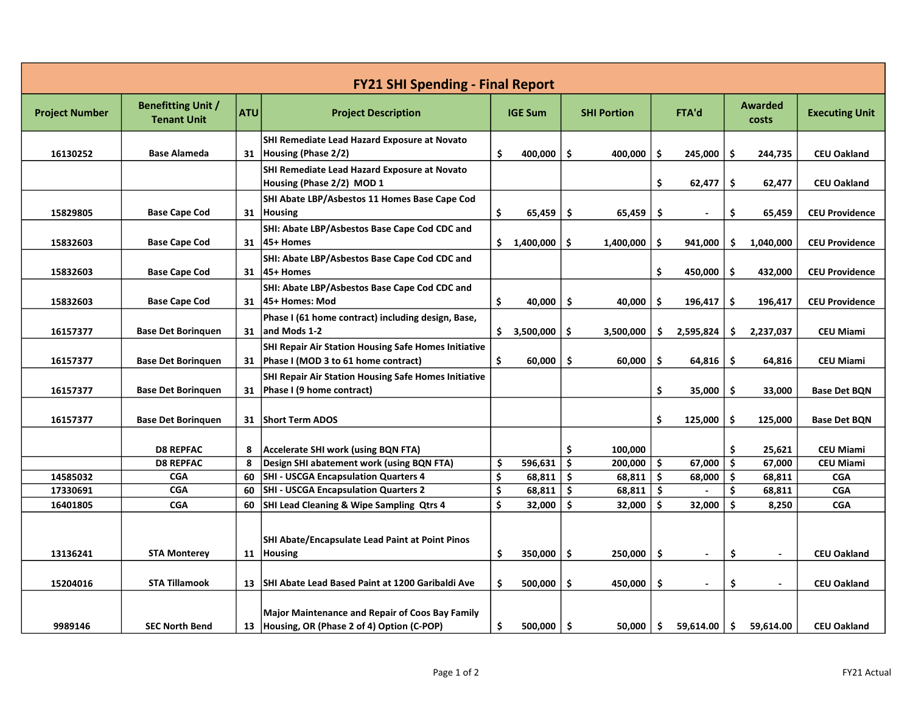| <b>FY21 SHI Spending - Final Report</b> |                                                 |            |                                                                                                     |    |                |     |                    |       |                          |                  |           |                       |
|-----------------------------------------|-------------------------------------------------|------------|-----------------------------------------------------------------------------------------------------|----|----------------|-----|--------------------|-------|--------------------------|------------------|-----------|-----------------------|
| <b>Project Number</b>                   | <b>Benefitting Unit /</b><br><b>Tenant Unit</b> | <b>ATU</b> | <b>Project Description</b>                                                                          |    | <b>IGE Sum</b> |     | <b>SHI Portion</b> | FTA'd |                          | Awarded<br>costs |           | <b>Executing Unit</b> |
| 16130252                                | <b>Base Alameda</b>                             |            | SHI Remediate Lead Hazard Exposure at Novato<br>31 Housing (Phase 2/2)                              | \$ | 400,000        | Ŝ.  | 400,000            | \$.   | 245,000                  | \$.              | 244,735   | <b>CEU Oakland</b>    |
|                                         |                                                 |            | SHI Remediate Lead Hazard Exposure at Novato<br>Housing (Phase 2/2) MOD 1                           |    |                |     |                    | \$    | 62,477                   | \$.              | 62,477    | <b>CEU Oakland</b>    |
| 15829805                                | <b>Base Cape Cod</b>                            | 31         | SHI Abate LBP/Asbestos 11 Homes Base Cape Cod<br>Housing                                            | \$ | 65,459         | \$  | 65,459             | \$    |                          | \$               | 65,459    | <b>CEU Providence</b> |
| 15832603                                | <b>Base Cape Cod</b>                            |            | SHI: Abate LBP/Asbestos Base Cape Cod CDC and<br>31   45+ Homes                                     |    | \$1,400,000    | Ŝ.  | 1,400,000          | \$    | 941,000                  | \$               | 1,040,000 | <b>CEU Providence</b> |
| 15832603                                | <b>Base Cape Cod</b>                            |            | SHI: Abate LBP/Asbestos Base Cape Cod CDC and<br>31   45+ Homes                                     |    |                |     |                    | \$    | 450,000                  | Ŝ.               | 432,000   | <b>CEU Providence</b> |
| 15832603                                | <b>Base Cape Cod</b>                            | 31         | SHI: Abate LBP/Asbestos Base Cape Cod CDC and<br>45+ Homes: Mod                                     | \$ | 40,000         | \$  | 40,000             | \$    | 196,417                  | \$               | 196,417   | <b>CEU Providence</b> |
| 16157377                                | <b>Base Det Boringuen</b>                       | 31         | Phase I (61 home contract) including design, Base,<br>and Mods 1-2                                  | \$ | 3,500,000      | \$  | 3,500,000          | \$    | 2,595,824                | \$               | 2,237,037 | <b>CEU Miami</b>      |
| 16157377                                | <b>Base Det Boringuen</b>                       | 31         | SHI Repair Air Station Housing Safe Homes Initiative<br>Phase I (MOD 3 to 61 home contract)         | \$ | 60,000         | \$  | 60,000             | \$    | 64,816                   | Ŝ.               | 64,816    | <b>CEU Miami</b>      |
| 16157377                                | <b>Base Det Boringuen</b>                       | 31         | <b>SHI Repair Air Station Housing Safe Homes Initiative</b><br>Phase I (9 home contract)            |    |                |     |                    | \$    | 35,000                   | \$.              | 33,000    | <b>Base Det BQN</b>   |
| 16157377                                | <b>Base Det Boringuen</b>                       | 31         | <b>Short Term ADOS</b>                                                                              |    |                |     |                    | \$    | 125,000                  | Ŝ.               | 125,000   | Base Det BQN          |
|                                         | <b>D8 REPFAC</b>                                | 8          | <b>Accelerate SHI work (using BQN FTA)</b>                                                          |    |                | \$  | 100,000            |       |                          | Ś.               | 25,621    | <b>CEU Miami</b>      |
|                                         | <b>D8 REPFAC</b>                                | 8          | Design SHI abatement work (using BQN FTA)                                                           | \$ | 596,631        | \$  | 200,000            | \$    | 67,000                   | $\ddot{\bm{s}}$  | 67,000    | <b>CEU Miami</b>      |
| 14585032                                | <b>CGA</b>                                      | 60         | SHI - USCGA Encapsulation Quarters 4                                                                | \$ | 68,811         | \$. | 68,811             | \$    | 68,000                   | Ŝ.               | 68,811    | <b>CGA</b>            |
| 17330691                                | <b>CGA</b>                                      | 60         | SHI - USCGA Encapsulation Quarters 2                                                                | \$ | 68,811         | -\$ | 68,811             | \$    | $\blacksquare$           | \$               | 68,811    | <b>CGA</b>            |
| 16401805                                | <b>CGA</b>                                      | 60         | SHI Lead Cleaning & Wipe Sampling Qtrs 4                                                            | \$ | 32,000         | Ŝ.  | 32,000             | \$    | 32,000                   | Ś.               | 8,250     | <b>CGA</b>            |
| 13136241                                | <b>STA Monterey</b>                             | 11         | <b>SHI Abate/Encapsulate Lead Paint at Point Pinos</b><br>Housing                                   | \$ | 350,000        | \$. | 250,000            | \$    | $\overline{\phantom{a}}$ | \$               |           | <b>CEU Oakland</b>    |
| 15204016                                | <b>STA Tillamook</b>                            | 13         | SHI Abate Lead Based Paint at 1200 Garibaldi Ave                                                    | \$ | 500,000        | \$  | 450,000            | \$    | $\blacksquare$           | \$               |           | <b>CEU Oakland</b>    |
| 9989146                                 | <b>SEC North Bend</b>                           | 13         | <b>Major Maintenance and Repair of Coos Bay Family</b><br>Housing, OR (Phase 2 of 4) Option (C-POP) | \$ | 500,000        | \$  | 50.000             | \$    | 59,614.00                | \$               | 59,614.00 | <b>CEU Oakland</b>    |